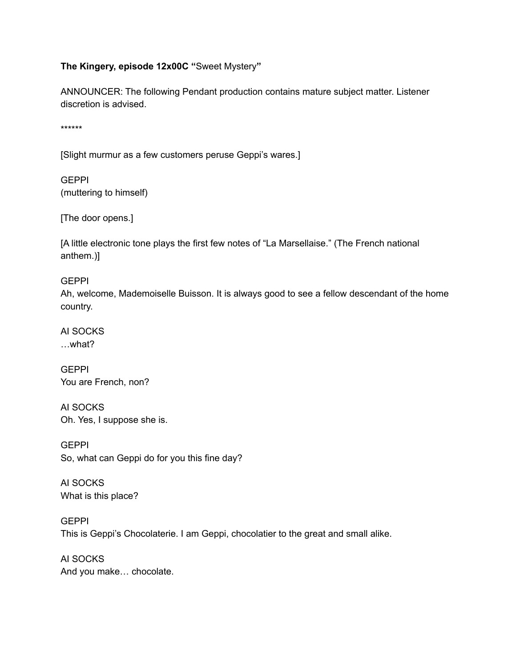## **The Kingery, episode 12x00C "**Sweet Mystery**"**

ANNOUNCER: The following Pendant production contains mature subject matter. Listener discretion is advised.

\*\*\*\*\*\*

[Slight murmur as a few customers peruse Geppi's wares.]

**GEPPI** (muttering to himself)

[The door opens.]

[A little electronic tone plays the first few notes of "La Marsellaise." (The French national anthem.)]

## GEPPI

Ah, welcome, Mademoiselle Buisson. It is always good to see a fellow descendant of the home country.

AI SOCKS …what?

GEPPI You are French, non?

AI SOCKS Oh. Yes, I suppose she is.

**GEPPI** So, what can Geppi do for you this fine day?

AI SOCKS What is this place?

GEPPI This is Geppi's Chocolaterie. I am Geppi, chocolatier to the great and small alike.

AI SOCKS And you make… chocolate.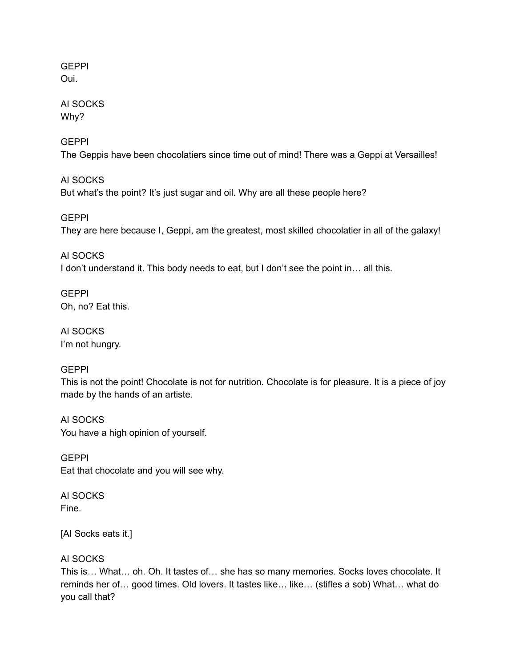**GEPPI** Oui.

AI SOCKS Why?

**GEPPI** The Geppis have been chocolatiers since time out of mind! There was a Geppi at Versailles!

AI SOCKS But what's the point? It's just sugar and oil. Why are all these people here?

**GEPPI** They are here because I, Geppi, am the greatest, most skilled chocolatier in all of the galaxy!

AI SOCKS I don't understand it. This body needs to eat, but I don't see the point in... all this.

**GEPPI** Oh, no? Eat this.

AI SOCKS I'm not hungry.

## GEPPI

This is not the point! Chocolate is not for nutrition. Chocolate is for pleasure. It is a piece of joy made by the hands of an artiste.

AI SOCKS You have a high opinion of yourself.

GEPPI Eat that chocolate and you will see why.

AI SOCKS Fine.

[AI Socks eats it.]

## AI SOCKS

This is… What… oh. Oh. It tastes of… she has so many memories. Socks loves chocolate. It reminds her of… good times. Old lovers. It tastes like… like… (stifles a sob) What… what do you call that?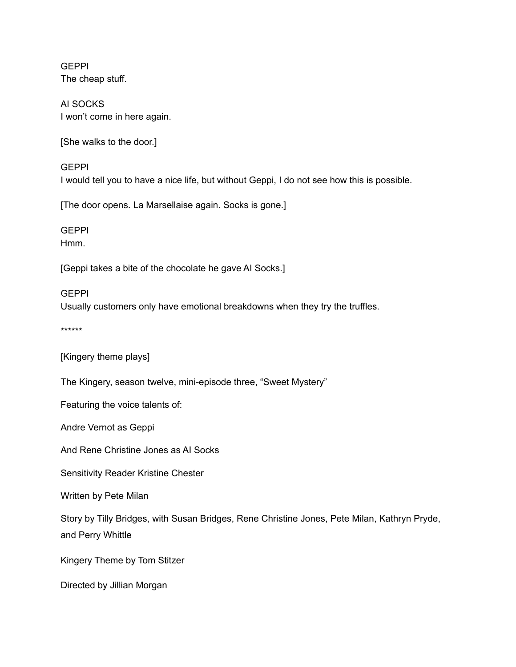**GEPPI** The cheap stuff.

AI SOCKS I won't come in here again.

[She walks to the door.]

**GEPPI** I would tell you to have a nice life, but without Geppi, I do not see how this is possible.

[The door opens. La Marsellaise again. Socks is gone.]

**GEPPI** Hmm.

[Geppi takes a bite of the chocolate he gave AI Socks.]

**GEPPI** Usually customers only have emotional breakdowns when they try the truffles.

\*\*\*\*\*\*

[Kingery theme plays]

The Kingery, season twelve, mini-episode three, "Sweet Mystery"

Featuring the voice talents of:

Andre Vernot as Geppi

And Rene Christine Jones as AI Socks

Sensitivity Reader Kristine Chester

Written by Pete Milan

Story by Tilly Bridges, with Susan Bridges, Rene Christine Jones, Pete Milan, Kathryn Pryde, and Perry Whittle

Kingery Theme by Tom Stitzer

Directed by Jillian Morgan